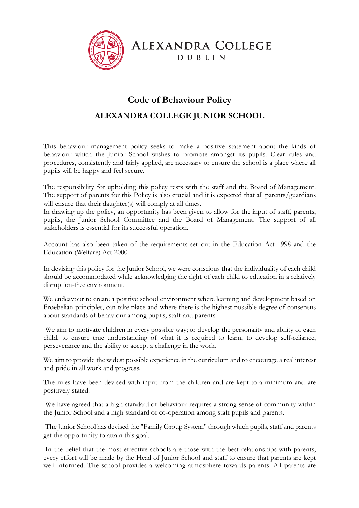

**ALEXANDRA COLLEGE DUBLIN** 

# **Code of Behaviour Policy**

# **ALEXANDRA COLLEGE JUNIOR SCHOOL**

This behaviour management policy seeks to make a positive statement about the kinds of behaviour which the Junior School wishes to promote amongst its pupils. Clear rules and procedures, consistently and fairly applied, are necessary to ensure the school is a place where all pupils will be happy and feel secure.

The responsibility for upholding this policy rests with the staff and the Board of Management. The support of parents for this Policy is also crucial and it is expected that all parents/guardians will ensure that their daughter(s) will comply at all times.

In drawing up the policy, an opportunity has been given to allow for the input of staff, parents, pupils, the Junior School Committee and the Board of Management. The support of all stakeholders is essential for its successful operation.

Account has also been taken of the requirements set out in the Education Act 1998 and the Education (Welfare) Act 2000.

In devising this policy for the Junior School, we were conscious that the individuality of each child should be accommodated while acknowledging the right of each child to education in a relatively disruption-free environment.

We endeavour to create a positive school environment where learning and development based on Froebelian principles, can take place and where there is the highest possible degree of consensus about standards of behaviour among pupils, staff and parents.

We aim to motivate children in every possible way; to develop the personality and ability of each child, to ensure true understanding of what it is required to learn, to develop self-reliance, perseverance and the ability to accept a challenge in the work.

We aim to provide the widest possible experience in the curriculum and to encourage a real interest and pride in all work and progress.

The rules have been devised with input from the children and are kept to a minimum and are positively stated.

We have agreed that a high standard of behaviour requires a strong sense of community within the Junior School and a high standard of co-operation among staff pupils and parents.

The Junior School has devised the "Family Group System" through which pupils, staff and parents get the opportunity to attain this goal.

In the belief that the most effective schools are those with the best relationships with parents, every effort will be made by the Head of Junior School and staff to ensure that parents are kept well informed. The school provides a welcoming atmosphere towards parents. All parents are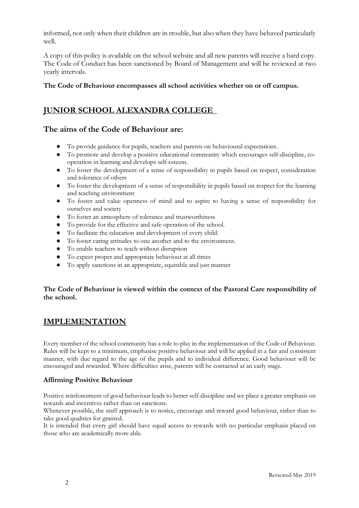informed, not only when their children are in trouble, but also when they have behaved particularly well.

A copy of this policy is available on the school website and all new parents will receive a hard copy. The Code of Conduct has been sanctioned by Board of Management and will be reviewed at two yearly intervals.

## **The Code of Behaviour encompasses all school activities whether on or off campus.**

## **JUNIOR SCHOOL ALEXANDRA COLLEGE**

## **The aims of the Code of Behaviour are:**

- To provide guidance for pupils, teachers and parents on behavioural expectations.
- To promote and develop a positive educational community which encourages self-discipline, cooperation in learning and develops self-esteem.
- To foster the development of a sense of responsibility in pupils based on respect, consideration and tolerance of others
- To foster the development of a sense of responsibility in pupils based on respect for the learning and teaching environment
- To foster and value openness of mind and to aspire to having a sense of responsibility for ourselves and society
- To foster an atmosphere of tolerance and trustworthiness
- To provide for the effective and safe operation of the school.
- To facilitate the education and development of every child.
- To foster caring attitudes to one another and to the environment.
- To enable teachers to teach without disruption
- To expect proper and appropriate behaviour at all times
- To apply sanctions in an appropriate, equitable and just manner

## **The Code of Behaviour is viewed within the context of the Pastoral Care responsibility of the school.**

## **IMPLEMENTATION**

Every member of the school community has a role to play in the implementation of the Code of Behaviour. Rules will be kept to a minimum, emphasise positive behaviour and will be applied in a fair and consistent manner, with due regard to the age of the pupils and to individual difference. Good behaviour will be encouraged and rewarded. Where difficulties arise, parents will be contacted at an early stage.

## **Affirming Positive Behaviour**

Positive reinforcement of good behaviour leads to better self-discipline and we place a greater emphasis on rewards and incentives rather than on sanctions.

Whenever possible, the staff approach is to notice, encourage and reward good behaviour, rather than to take good qualities for granted.

It is intended that every girl should have equal access to rewards with no particular emphasis placed on those who are academically more able.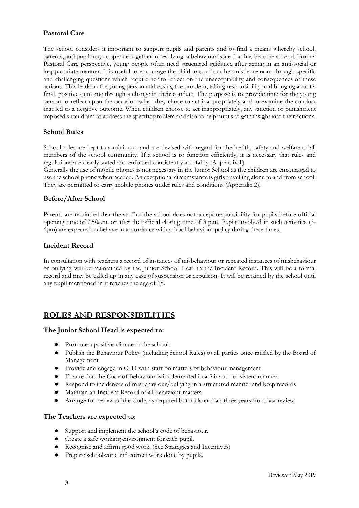## **Pastoral Care**

The school considers it important to support pupils and parents and to find a means whereby school, parents, and pupil may cooperate together in resolving a behaviour issue that has become a trend. From a Pastoral Care perspective, young people often need structured guidance after acting in an anti-social or inappropriate manner. It is useful to encourage the child to confront her misdemeanour through specific and challenging questions which require her to reflect on the unacceptability and consequences of these actions. This leads to the young person addressing the problem, taking responsibility and bringing about a final, positive outcome through a change in their conduct. The purpose is to provide time for the young person to reflect upon the occasion when they chose to act inappropriately and to examine the conduct that led to a negative outcome. When children choose to act inappropriately, any sanction or punishment imposed should aim to address the specific problem and also to help pupils to gain insight into their actions.

## **School Rules**

School rules are kept to a minimum and are devised with regard for the health, safety and welfare of all members of the school community. If a school is to function efficiently, it is necessary that rules and regulations are clearly stated and enforced consistently and fairly (Appendix 1).

Generally the use of mobile phones is not necessary in the Junior School as the children are encouraged to use the school phone when needed. An exceptional circumstance is girls travelling alone to and from school. They are permitted to carry mobile phones under rules and conditions (Appendix 2).

## **Before/After School**

Parents are reminded that the staff of the school does not accept responsibility for pupils before official opening time of 7.50a.m. or after the official closing time of 3 p.m. Pupils involved in such activities (3- 6pm) are expected to behave in accordance with school behaviour policy during these times.

## **Incident Record**

In consultation with teachers a record of instances of misbehaviour or repeated instances of misbehaviour or bullying will be maintained by the Junior School Head in the Incident Record. This will be a formal record and may be called up in any case of suspension or expulsion. It will be retained by the school until any pupil mentioned in it reaches the age of 18.

## **ROLES AND RESPONSIBILITIES**

#### **The Junior School Head is expected to:**

- Promote a positive climate in the school.
- Publish the Behaviour Policy (including School Rules) to all parties once ratified by the Board of Management
- Provide and engage in CPD with staff on matters of behaviour management
- Ensure that the Code of Behaviour is implemented in a fair and consistent manner.
- Respond to incidences of misbehaviour/bullying in a structured manner and keep records
- Maintain an Incident Record of all behaviour matters
- Arrange for review of the Code, as required but no later than three years from last review.

#### **The Teachers are expected to:**

- Support and implement the school's code of behaviour.
- Create a safe working environment for each pupil.
- Recognise and affirm good work. (See Strategies and Incentives)
- Prepare schoolwork and correct work done by pupils.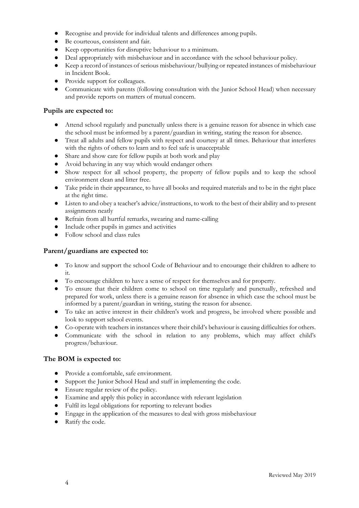- Recognise and provide for individual talents and differences among pupils.
- Be courteous, consistent and fair.
- Keep opportunities for disruptive behaviour to a minimum.
- Deal appropriately with misbehaviour and in accordance with the school behaviour policy.
- Keep a record of instances of serious misbehaviour/bullying or repeated instances of misbehaviour in Incident Book.
- Provide support for colleagues.
- Communicate with parents (following consultation with the Junior School Head) when necessary and provide reports on matters of mutual concern.

## **Pupils are expected to:**

- Attend school regularly and punctually unless there is a genuine reason for absence in which case the school must be informed by a parent/guardian in writing, stating the reason for absence.
- Treat all adults and fellow pupils with respect and courtesy at all times. Behaviour that interferes with the rights of others to learn and to feel safe is unacceptable
- Share and show care for fellow pupils at both work and play
- Avoid behaving in any way which would endanger others
- Show respect for all school property, the property of fellow pupils and to keep the school environment clean and litter free.
- Take pride in their appearance, to have all books and required materials and to be in the right place at the right time.
- Listen to and obey a teacher's advice/instructions, to work to the best of their ability and to present assignments neatly
- Refrain from all hurtful remarks, swearing and name-calling
- Include other pupils in games and activities
- Follow school and class rules

## **Parent/guardians are expected to:**

- To know and support the school Code of Behaviour and to encourage their children to adhere to it.
- To encourage children to have a sense of respect for themselves and for property.
- To ensure that their children come to school on time regularly and punctually, refreshed and prepared for work, unless there is a genuine reason for absence in which case the school must be informed by a parent/guardian in writing, stating the reason for absence.
- To take an active interest in their children's work and progress, be involved where possible and look to support school events.
- Co-operate with teachers in instances where their child's behaviour is causing difficulties for others.
- Communicate with the school in relation to any problems, which may affect child's progress/behaviour.

## **The BOM is expected to:**

- Provide a comfortable, safe environment.
- Support the Junior School Head and staff in implementing the code.
- Ensure regular review of the policy.
- Examine and apply this policy in accordance with relevant legislation
- Fulfil its legal obligations for reporting to relevant bodies
- Engage in the application of the measures to deal with gross misbehaviour
- Ratify the code.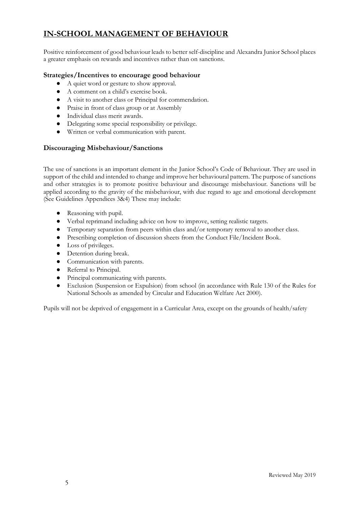# **IN-SCHOOL MANAGEMENT OF BEHAVIOUR**

Positive reinforcement of good behaviour leads to better self-discipline and Alexandra Junior School places a greater emphasis on rewards and incentives rather than on sanctions.

## **Strategies/Incentives to encourage good behaviour**

- A quiet word or gesture to show approval.
- A comment on a child's exercise book.
- A visit to another class or Principal for commendation.
- Praise in front of class group or at Assembly
- Individual class merit awards.
- Delegating some special responsibility or privilege.
- Written or verbal communication with parent.

## **Discouraging Misbehaviour/Sanctions**

The use of sanctions is an important element in the Junior School's Code of Behaviour. They are used in support of the child and intended to change and improve her behavioural pattern. The purpose of sanctions and other strategies is to promote positive behaviour and discourage misbehaviour. Sanctions will be applied according to the gravity of the misbehaviour, with due regard to age and emotional development (See Guidelines Appendices 3&4) These may include:

- Reasoning with pupil.
- Verbal reprimand including advice on how to improve, setting realistic targets.
- Temporary separation from peers within class and/or temporary removal to another class.
- Prescribing completion of discussion sheets from the Conduct File/Incident Book.
- Loss of privileges.
- Detention during break.
- Communication with parents.
- Referral to Principal.
- Principal communicating with parents.
- Exclusion (Suspension or Expulsion) from school (in accordance with Rule 130 of the Rules for National Schools as amended by Circular and Education Welfare Act 2000).

Pupils will not be deprived of engagement in a Curricular Area, except on the grounds of health/safety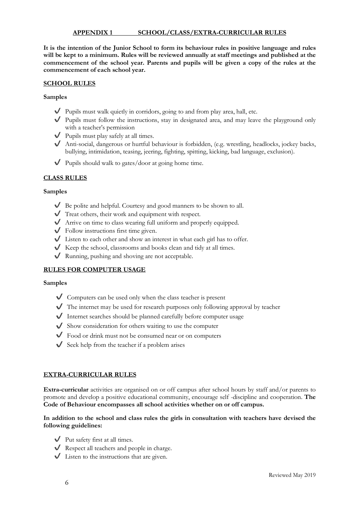#### **APPENDIX 1 SCHOOL/CLASS/EXTRA-CURRICULAR RULES**

**It is the intention of the Junior School to form its behaviour rules in positive language and rules will be kept to a minimum. Rules will be reviewed annually at staff meetings and published at the commencement of the school year. Parents and pupils will be given a copy of the rules at the commencement of each school year.**

#### **SCHOOL RULES**

**Samples**

- $\blacktriangledown$  Pupils must walk quietly in corridors, going to and from play area, hall, etc.
- ✔ Pupils must follow the instructions, stay in designated area, and may leave the playground only with a teacher's permission
- ✔ Pupils must play safely at all times.
- ✔ Anti-social, dangerous or hurtful behaviour is forbidden, (e.g. wrestling, headlocks, jockey backs, bullying, intimidation, teasing, jeering, fighting, spitting, kicking, bad language, exclusion).
- $\vee$  Pupils should walk to gates/door at going home time.

## **CLASS RULES**

#### **Samples**

- ✔ Be polite and helpful. Courtesy and good manners to be shown to all.
- ✔ Treat others, their work and equipment with respect.
- ✔ Arrive on time to class wearing full uniform and properly equipped.
- $\checkmark$  Follow instructions first time given.
- ✔ Listen to each other and show an interest in what each girl has to offer.
- $\blacklozenge$  Keep the school, classrooms and books clean and tidy at all times.
- ✔ Running, pushing and shoving are not acceptable.

## **RULES FOR COMPUTER USAGE**

#### **Samples**

- $\vee$  Computers can be used only when the class teacher is present
- ✔ The internet may be used for research purposes only following approval by teacher
- $\blacklozenge$  Internet searches should be planned carefully before computer usage
- ✔ Show consideration for others waiting to use the computer
- ✔ Food or drink must not be consumed near or on computers
- $\checkmark$  Seek help from the teacher if a problem arises

#### **EXTRA-CURRICULAR RULES**

**Extra-curricular** activities are organised on or off campus after school hours by staff and/or parents to promote and develop a positive educational community, encourage self -discipline and cooperation. **The Code of Behaviour encompasses all school activities whether on or off campus.** 

#### **In addition to the school and class rules the girls in consultation with teachers have devised the following guidelines:**

- $\bigvee$  Put safety first at all times.
- $\checkmark$  Respect all teachers and people in charge.
- $\bigvee$  Listen to the instructions that are given.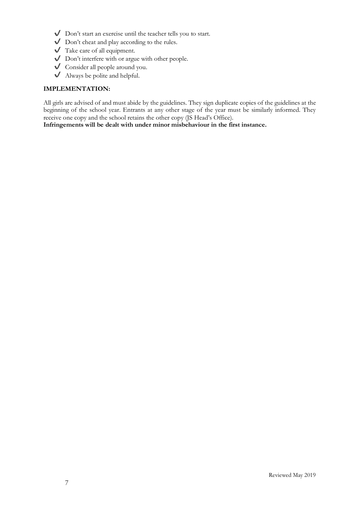- $\bigvee$  Don't start an exercise until the teacher tells you to start.
- ✔ Don't cheat and play according to the rules.
- $\sqrt{\phantom{a}}$  Take care of all equipment.
- $\bigvee$  Don't interfere with or argue with other people.
- ✔ Consider all people around you.
- ✔ Always be polite and helpful.

## **IMPLEMENTATION:**

All girls are advised of and must abide by the guidelines. They sign duplicate copies of the guidelines at the beginning of the school year. Entrants at any other stage of the year must be similarly informed. They receive one copy and the school retains the other copy (JS Head's Office).

**Infringements will be dealt with under minor misbehaviour in the first instance.**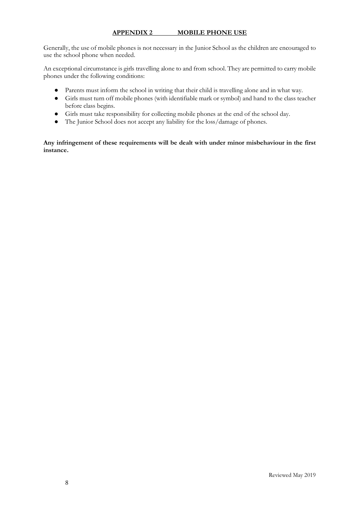## **APPENDIX 2 MOBILE PHONE USE**

Generally, the use of mobile phones is not necessary in the Junior School as the children are encouraged to use the school phone when needed.

An exceptional circumstance is girls travelling alone to and from school. They are permitted to carry mobile phones under the following conditions:

- Parents must inform the school in writing that their child is travelling alone and in what way.
- Girls must turn off mobile phones (with identifiable mark or symbol) and hand to the class teacher before class begins.
- Girls must take responsibility for collecting mobile phones at the end of the school day.
- The Junior School does not accept any liability for the loss/damage of phones.

**Any infringement of these requirements will be dealt with under minor misbehaviour in the first instance.**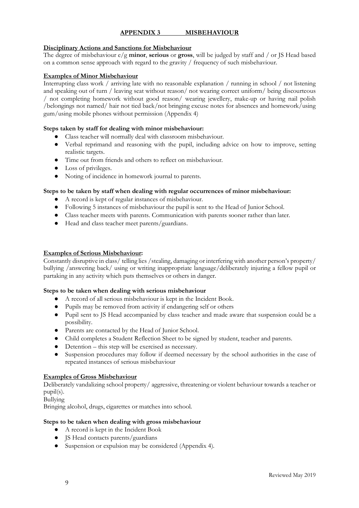## **APPENDIX 3 MISBEHAVIOUR**

#### **Disciplinary Actions and Sanctions for Misbehaviour**

The degree of misbehaviour e/g **minor**, **serious** or **gross**, will be judged by staff and / or JS Head based on a common sense approach with regard to the gravity / frequency of such misbehaviour.

#### **Examples of Minor Misbehaviour**

Interrupting class work / arriving late with no reasonable explanation / running in school / not listening and speaking out of turn / leaving seat without reason/ not wearing correct uniform/ being discourteous / not completing homework without good reason/ wearing jewellery, make-up or having nail polish /belongings not named/ hair not tied back/not bringing excuse notes for absences and homework/using gum/using mobile phones without permission (Appendix 4)

#### **Steps taken by staff for dealing with minor misbehaviour:**

- Class teacher will normally deal with classroom misbehaviour.
- Verbal reprimand and reasoning with the pupil, including advice on how to improve, setting realistic targets.
- Time out from friends and others to reflect on misbehaviour.
- Loss of privileges.
- Noting of incidence in homework journal to parents.

#### **Steps to be taken by staff when dealing with regular occurrences of minor misbehaviour:**

- A record is kept of regular instances of misbehaviour.
- Following 5 instances of misbehaviour the pupil is sent to the Head of Junior School.
- Class teacher meets with parents. Communication with parents sooner rather than later.
- Head and class teacher meet parents/guardians.

#### **Examples of Serious Misbehaviour:**

Constantly disruptive in class/ telling lies /stealing, damaging or interfering with another person's property/ bullying /answering back/ using or writing inappropriate language/deliberately injuring a fellow pupil or partaking in any activity which puts themselves or others in danger.

#### **Steps to be taken when dealing with serious misbehaviour**

- A record of all serious misbehaviour is kept in the Incident Book.
- Pupils may be removed from activity if endangering self or others
- Pupil sent to JS Head accompanied by class teacher and made aware that suspension could be a possibility.
- Parents are contacted by the Head of Junior School.
- Child completes a Student Reflection Sheet to be signed by student, teacher and parents.
- Detention this step will be exercised as necessary.
- Suspension procedures may follow if deemed necessary by the school authorities in the case of repeated instances of serious misbehaviour

#### **Examples of Gross Misbehaviour**

Deliberately vandalizing school property/ aggressive, threatening or violent behaviour towards a teacher or pupil(s).

Bullying

Bringing alcohol, drugs, cigarettes or matches into school.

#### **Steps to be taken when dealing with gross misbehaviour**

- A record is kept in the Incident Book
- JS Head contacts parents/guardians
- Suspension or expulsion may be considered (Appendix 4).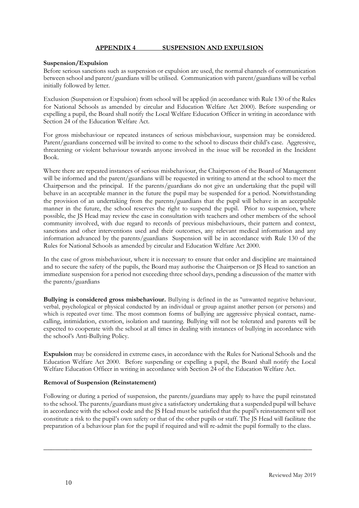## **APPENDIX 4 SUSPENSION AND EXPULSION**

#### **Suspension/Expulsion**

Before serious sanctions such as suspension or expulsion are used, the normal channels of communication between school and parent/guardians will be utilised. Communication with parent/guardians will be verbal initially followed by letter.

Exclusion (Suspension or Expulsion) from school will be applied (in accordance with Rule 130 of the Rules for National Schools as amended by circular and Education Welfare Act 2000). Before suspending or expelling a pupil, the Board shall notify the Local Welfare Education Officer in writing in accordance with Section 24 of the Education Welfare Act.

For gross misbehaviour or repeated instances of serious misbehaviour, suspension may be considered. Parent/guardians concerned will be invited to come to the school to discuss their child's case. Aggressive, threatening or violent behaviour towards anyone involved in the issue will be recorded in the Incident Book.

Where there are repeated instances of serious misbehaviour, the Chairperson of the Board of Management will be informed and the parent/guardians will be requested in writing to attend at the school to meet the Chairperson and the principal. If the parents/guardians do not give an undertaking that the pupil will behave in an acceptable manner in the future the pupil may be suspended for a period. Notwithstanding the provision of an undertaking from the parents/guardians that the pupil will behave in an acceptable manner in the future, the school reserves the right to suspend the pupil. Prior to suspension, where possible, the JS Head may review the case in consultation with teachers and other members of the school community involved, with due regard to records of previous misbehaviours, their pattern and context, sanctions and other interventions used and their outcomes, any relevant medical information and any information advanced by the parents/guardians Suspension will be in accordance with Rule 130 of the Rules for National Schools as amended by circular and Education Welfare Act 2000.

In the case of gross misbehaviour, where it is necessary to ensure that order and discipline are maintained and to secure the safety of the pupils, the Board may authorise the Chairperson or JS Head to sanction an immediate suspension for a period not exceeding three school days, pending a discussion of the matter with the parents/guardians

**Bullying is considered gross misbehaviour.** Bullying is defined in the as "unwanted negative behaviour, verbal, psychological or physical conducted by an individual or group against another person (or persons) and which is repeated over time. The most common forms of bullying are aggressive physical contact, namecalling, intimidation, extortion, isolation and taunting. Bullying will not be tolerated and parents will be expected to cooperate with the school at all times in dealing with instances of bullying in accordance with the school's Anti-Bullying Policy.

**Expulsion** may be considered in extreme cases, in accordance with the Rules for National Schools and the Education Welfare Act 2000. Before suspending or expelling a pupil, the Board shall notify the Local Welfare Education Officer in writing in accordance with Section 24 of the Education Welfare Act.

#### **Removal of Suspension (Reinstatement)**

Following or during a period of suspension, the parents/guardians may apply to have the pupil reinstated to the school. The parents/guardians must give a satisfactory undertaking that a suspended pupil will behave in accordance with the school code and the JS Head must be satisfied that the pupil's reinstatement will not constitute a risk to the pupil's own safety or that of the other pupils or staff. The JS Head will facilitate the preparation of a behaviour plan for the pupil if required and will re-admit the pupil formally to the class.

\_\_\_\_\_\_\_\_\_\_\_\_\_\_\_\_\_\_\_\_\_\_\_\_\_\_\_\_\_\_\_\_\_\_\_\_\_\_\_\_\_\_\_\_\_\_\_\_\_\_\_\_\_\_\_\_\_\_\_\_\_\_\_\_\_\_\_\_\_\_